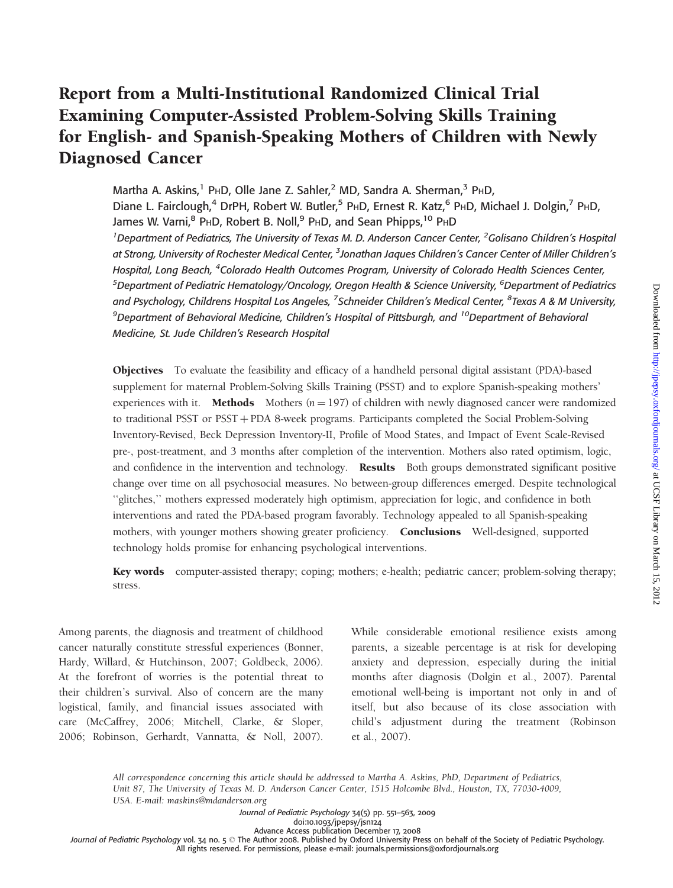# Report from a Multi-Institutional Randomized Clinical Trial Examining Computer-Assisted Problem-Solving Skills Training for English- and Spanish-Speaking Mothers of Children with Newly Diagnosed Cancer

Martha A. Askins,<sup>1</sup> PHD, Olle Jane Z. Sahler,<sup>2</sup> MD, Sandra A. Sherman,<sup>3</sup> PHD, Diane L. Fairclough,<sup>4</sup> DrPH, Robert W. Butler,<sup>5</sup> PHD, Ernest R. Katz,<sup>6</sup> PHD, Michael J. Dolgin,<sup>7</sup> PHD, James W. Varni,<sup>8</sup> PHD, Robert B. Noll,<sup>9</sup> PHD, and Sean Phipps,<sup>10</sup> PHD <sup>1</sup> Department of Pediatrics, The University of Texas M. D. Anderson Cancer Center, <sup>2</sup>Golisano Children's Hospital at Strong, University of Rochester Medical Center, <sup>3</sup>Jonathan Jaques Children's Cancer Center of Miller Children's Hospital, Long Beach, <sup>4</sup>Colorado Health Outcomes Program, University of Colorado Health Sciences Center, <sup>5</sup>Department of Pediatric Hematology/Oncology, Oregon Health & Science University, <sup>6</sup>Department of Pediatrics and Psychology, Childrens Hospital Los Angeles, <sup>7</sup>Schneider Children's Medical Center, <sup>8</sup>Texas A & M University,  $^9$ Department of Behavioral Medicine, Children's Hospital of Pittsburgh, and  $^{\text{\textit{10}}}$ Department of Behavioral Medicine, St. Jude Children's Research Hospital

Objectives To evaluate the feasibility and efficacy of a handheld personal digital assistant (PDA)-based supplement for maternal Problem-Solving Skills Training (PSST) and to explore Spanish-speaking mothers' experiences with it. **Methods** Mothers  $(n = 197)$  of children with newly diagnosed cancer were randomized to traditional PSST or PSST + PDA 8-week programs. Participants completed the Social Problem-Solving Inventory-Revised, Beck Depression Inventory-II, Profile of Mood States, and Impact of Event Scale-Revised pre-, post-treatment, and 3 months after completion of the intervention. Mothers also rated optimism, logic, and confidence in the intervention and technology. **Results** Both groups demonstrated significant positive change over time on all psychosocial measures. No between-group differences emerged. Despite technological ''glitches,'' mothers expressed moderately high optimism, appreciation for logic, and confidence in both interventions and rated the PDA-based program favorably. Technology appealed to all Spanish-speaking mothers, with younger mothers showing greater proficiency. **Conclusions** Well-designed, supported technology holds promise for enhancing psychological interventions.

Key words computer-assisted therapy; coping; mothers; e-health; pediatric cancer; problem-solving therapy; stress.

Among parents, the diagnosis and treatment of childhood cancer naturally constitute stressful experiences (Bonner, Hardy, Willard, & Hutchinson, 2007; Goldbeck, 2006). At the forefront of worries is the potential threat to their children's survival. Also of concern are the many logistical, family, and financial issues associated with care (McCaffrey, 2006; Mitchell, Clarke, & Sloper, 2006; Robinson, Gerhardt, Vannatta, & Noll, 2007).

While considerable emotional resilience exists among parents, a sizeable percentage is at risk for developing anxiety and depression, especially during the initial months after diagnosis (Dolgin et al., 2007). Parental emotional well-being is important not only in and of itself, but also because of its close association with child's adjustment during the treatment (Robinson et al., 2007).

All correspondence concerning this article should be addressed to Martha A. Askins, PhD, Department of Pediatrics, Unit 87, The University of Texas M. D. Anderson Cancer Center, 1515 Holcombe Blvd., Houston, TX, 77030-4009, USA. E-mail: maskins@mdanderson.org Journal of Pediatric Psychology 34(5) pp. 551–563, 2009

doi:10.1093/jpepsy/jsn124

Advance Access publication December 17, 2008

Journal of Pediatric Psychology vol. 34 no. 5 © The Author 2008. Published by Oxford University Press on behalf of the Society of Pediatric Psychology.

All rights reserved. For permissions, please e-mail: journals.permissions@oxfordjournals.org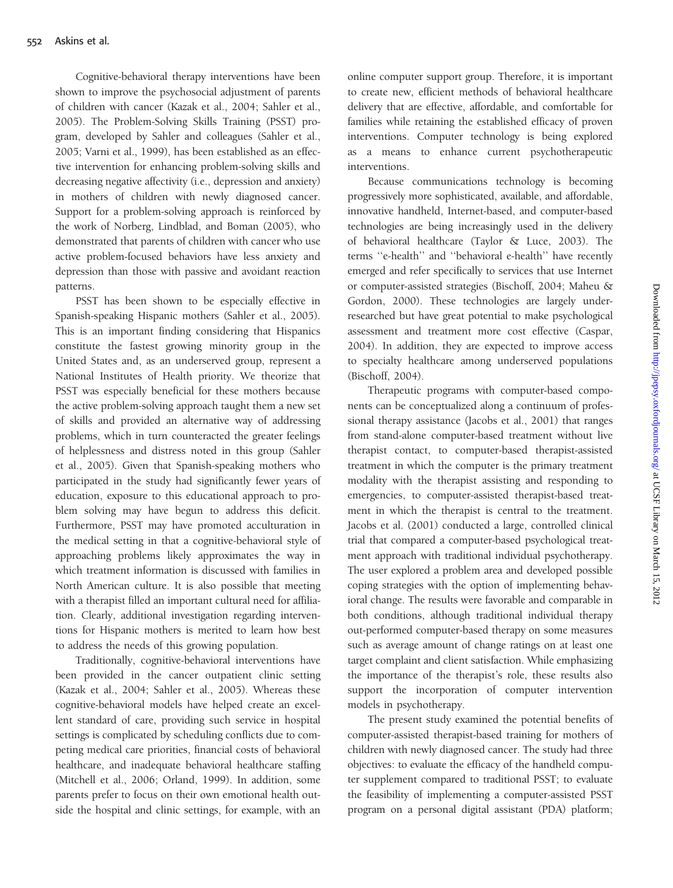Cognitive-behavioral therapy interventions have been shown to improve the psychosocial adjustment of parents of children with cancer (Kazak et al., 2004; Sahler et al., 2005). The Problem-Solving Skills Training (PSST) program, developed by Sahler and colleagues (Sahler et al., 2005; Varni et al., 1999), has been established as an effective intervention for enhancing problem-solving skills and decreasing negative affectivity (i.e., depression and anxiety) in mothers of children with newly diagnosed cancer. Support for a problem-solving approach is reinforced by the work of Norberg, Lindblad, and Boman (2005), who demonstrated that parents of children with cancer who use active problem-focused behaviors have less anxiety and depression than those with passive and avoidant reaction patterns.

PSST has been shown to be especially effective in Spanish-speaking Hispanic mothers (Sahler et al., 2005). This is an important finding considering that Hispanics constitute the fastest growing minority group in the United States and, as an underserved group, represent a National Institutes of Health priority. We theorize that PSST was especially beneficial for these mothers because the active problem-solving approach taught them a new set of skills and provided an alternative way of addressing problems, which in turn counteracted the greater feelings of helplessness and distress noted in this group (Sahler et al., 2005). Given that Spanish-speaking mothers who participated in the study had significantly fewer years of education, exposure to this educational approach to problem solving may have begun to address this deficit. Furthermore, PSST may have promoted acculturation in the medical setting in that a cognitive-behavioral style of approaching problems likely approximates the way in which treatment information is discussed with families in North American culture. It is also possible that meeting with a therapist filled an important cultural need for affiliation. Clearly, additional investigation regarding interventions for Hispanic mothers is merited to learn how best to address the needs of this growing population.

Traditionally, cognitive-behavioral interventions have been provided in the cancer outpatient clinic setting (Kazak et al., 2004; Sahler et al., 2005). Whereas these cognitive-behavioral models have helped create an excellent standard of care, providing such service in hospital settings is complicated by scheduling conflicts due to competing medical care priorities, financial costs of behavioral healthcare, and inadequate behavioral healthcare staffing (Mitchell et al., 2006; Orland, 1999). In addition, some parents prefer to focus on their own emotional health outside the hospital and clinic settings, for example, with an

online computer support group. Therefore, it is important to create new, efficient methods of behavioral healthcare delivery that are effective, affordable, and comfortable for families while retaining the established efficacy of proven interventions. Computer technology is being explored as a means to enhance current psychotherapeutic interventions.

Because communications technology is becoming progressively more sophisticated, available, and affordable, innovative handheld, Internet-based, and computer-based technologies are being increasingly used in the delivery of behavioral healthcare (Taylor & Luce, 2003). The terms ''e-health'' and ''behavioral e-health'' have recently emerged and refer specifically to services that use Internet or computer-assisted strategies (Bischoff, 2004; Maheu & Gordon, 2000). These technologies are largely underresearched but have great potential to make psychological assessment and treatment more cost effective (Caspar, 2004). In addition, they are expected to improve access to specialty healthcare among underserved populations (Bischoff, 2004).

Therapeutic programs with computer-based components can be conceptualized along a continuum of professional therapy assistance (Jacobs et al., 2001) that ranges from stand-alone computer-based treatment without live therapist contact, to computer-based therapist-assisted treatment in which the computer is the primary treatment modality with the therapist assisting and responding to emergencies, to computer-assisted therapist-based treatment in which the therapist is central to the treatment. Jacobs et al. (2001) conducted a large, controlled clinical trial that compared a computer-based psychological treatment approach with traditional individual psychotherapy. The user explored a problem area and developed possible coping strategies with the option of implementing behavioral change. The results were favorable and comparable in both conditions, although traditional individual therapy out-performed computer-based therapy on some measures such as average amount of change ratings on at least one target complaint and client satisfaction. While emphasizing the importance of the therapist's role, these results also support the incorporation of computer intervention models in psychotherapy.

The present study examined the potential benefits of computer-assisted therapist-based training for mothers of children with newly diagnosed cancer. The study had three objectives: to evaluate the efficacy of the handheld computer supplement compared to traditional PSST; to evaluate the feasibility of implementing a computer-assisted PSST program on a personal digital assistant (PDA) platform;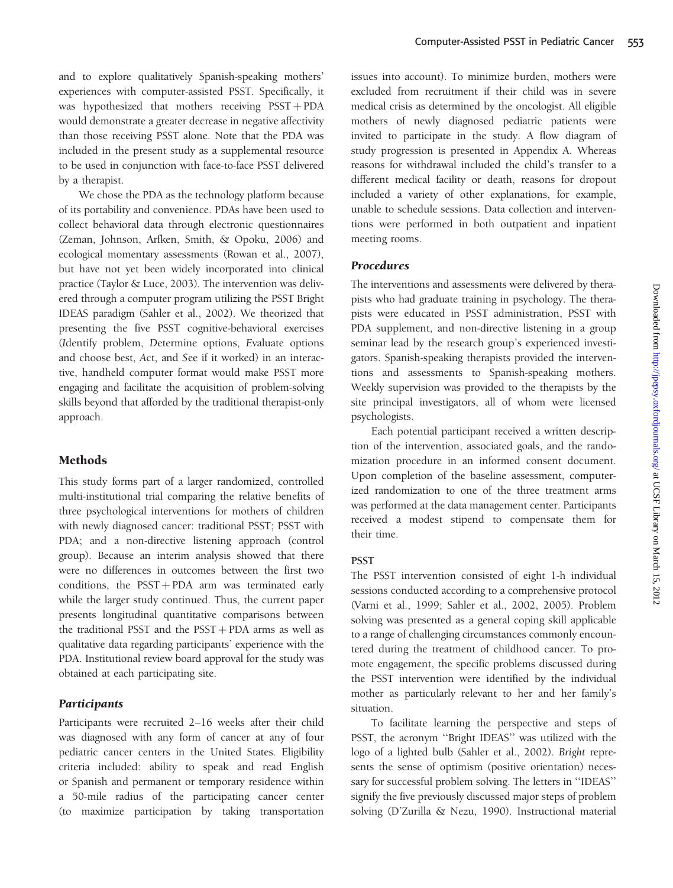and to explore qualitatively Spanish-speaking mothers' experiences with computer-assisted PSST. Specifically, it was hypothesized that mothers receiving  $PSST + PDA$ would demonstrate a greater decrease in negative affectivity than those receiving PSST alone. Note that the PDA was included in the present study as a supplemental resource to be used in conjunction with face-to-face PSST delivered by a therapist.

We chose the PDA as the technology platform because of its portability and convenience. PDAs have been used to collect behavioral data through electronic questionnaires (Zeman, Johnson, Arfken, Smith, & Opoku, 2006) and ecological momentary assessments (Rowan et al., 2007), but have not yet been widely incorporated into clinical practice (Taylor & Luce, 2003). The intervention was delivered through a computer program utilizing the PSST Bright IDEAS paradigm (Sahler et al., 2002). We theorized that presenting the five PSST cognitive-behavioral exercises (Identify problem, Determine options, Evaluate options and choose best, Act, and See if it worked) in an interactive, handheld computer format would make PSST more engaging and facilitate the acquisition of problem-solving skills beyond that afforded by the traditional therapist-only approach.

## Methods

This study forms part of a larger randomized, controlled multi-institutional trial comparing the relative benefits of three psychological interventions for mothers of children with newly diagnosed cancer: traditional PSST; PSST with PDA; and a non-directive listening approach (control group). Because an interim analysis showed that there were no differences in outcomes between the first two conditions, the  $PSST + PDA$  arm was terminated early while the larger study continued. Thus, the current paper presents longitudinal quantitative comparisons between the traditional PSST and the PSST + PDA arms as well as qualitative data regarding participants' experience with the PDA. Institutional review board approval for the study was obtained at each participating site.

## **Participants**

Participants were recruited 2–16 weeks after their child was diagnosed with any form of cancer at any of four pediatric cancer centers in the United States. Eligibility criteria included: ability to speak and read English or Spanish and permanent or temporary residence within a 50-mile radius of the participating cancer center (to maximize participation by taking transportation

issues into account). To minimize burden, mothers were excluded from recruitment if their child was in severe medical crisis as determined by the oncologist. All eligible mothers of newly diagnosed pediatric patients were invited to participate in the study. A flow diagram of study progression is presented in Appendix A. Whereas reasons for withdrawal included the child's transfer to a different medical facility or death, reasons for dropout included a variety of other explanations, for example, unable to schedule sessions. Data collection and interventions were performed in both outpatient and inpatient meeting rooms.

## Procedures

The interventions and assessments were delivered by therapists who had graduate training in psychology. The therapists were educated in PSST administration, PSST with PDA supplement, and non-directive listening in a group seminar lead by the research group's experienced investigators. Spanish-speaking therapists provided the interventions and assessments to Spanish-speaking mothers. Weekly supervision was provided to the therapists by the site principal investigators, all of whom were licensed psychologists.

Each potential participant received a written description of the intervention, associated goals, and the randomization procedure in an informed consent document. Upon completion of the baseline assessment, computerized randomization to one of the three treatment arms was performed at the data management center. Participants received a modest stipend to compensate them for their time.

## **PSST**

The PSST intervention consisted of eight 1-h individual sessions conducted according to a comprehensive protocol (Varni et al., 1999; Sahler et al., 2002, 2005). Problem solving was presented as a general coping skill applicable to a range of challenging circumstances commonly encountered during the treatment of childhood cancer. To promote engagement, the specific problems discussed during the PSST intervention were identified by the individual mother as particularly relevant to her and her family's situation.

To facilitate learning the perspective and steps of PSST, the acronym ''Bright IDEAS'' was utilized with the logo of a lighted bulb (Sahler et al., 2002). Bright represents the sense of optimism (positive orientation) necessary for successful problem solving. The letters in ''IDEAS'' signify the five previously discussed major steps of problem solving (D'Zurilla & Nezu, 1990). Instructional material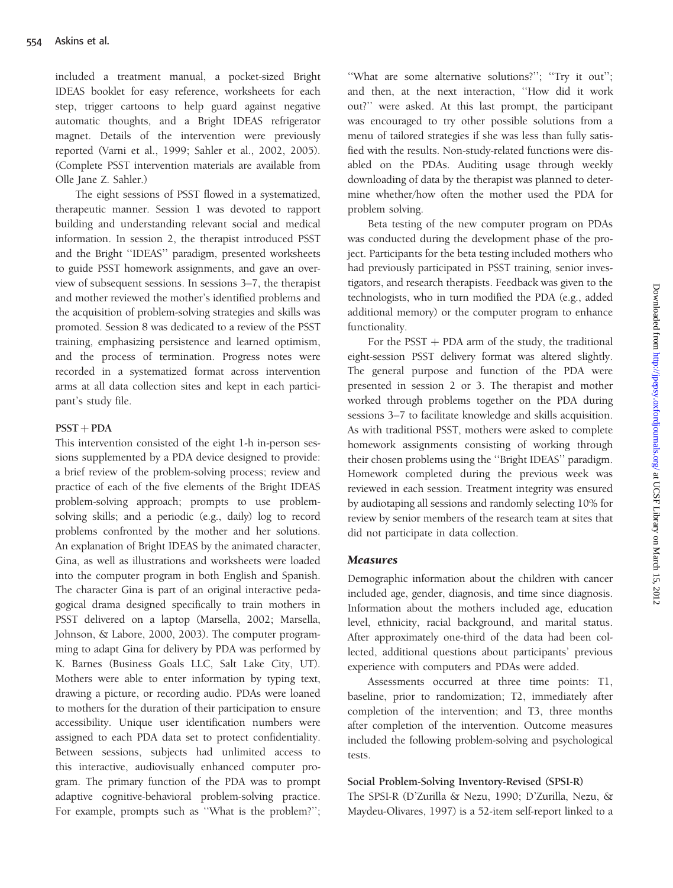included a treatment manual, a pocket-sized Bright IDEAS booklet for easy reference, worksheets for each step, trigger cartoons to help guard against negative automatic thoughts, and a Bright IDEAS refrigerator magnet. Details of the intervention were previously reported (Varni et al., 1999; Sahler et al., 2002, 2005). (Complete PSST intervention materials are available from Olle Jane Z. Sahler.)

The eight sessions of PSST flowed in a systematized, therapeutic manner. Session 1 was devoted to rapport building and understanding relevant social and medical information. In session 2, the therapist introduced PSST and the Bright ''IDEAS'' paradigm, presented worksheets to guide PSST homework assignments, and gave an overview of subsequent sessions. In sessions 3–7, the therapist and mother reviewed the mother's identified problems and the acquisition of problem-solving strategies and skills was promoted. Session 8 was dedicated to a review of the PSST training, emphasizing persistence and learned optimism, and the process of termination. Progress notes were recorded in a systematized format across intervention arms at all data collection sites and kept in each participant's study file.

#### $PSST + PDA$

This intervention consisted of the eight 1-h in-person sessions supplemented by a PDA device designed to provide: a brief review of the problem-solving process; review and practice of each of the five elements of the Bright IDEAS problem-solving approach; prompts to use problemsolving skills; and a periodic (e.g., daily) log to record problems confronted by the mother and her solutions. An explanation of Bright IDEAS by the animated character, Gina, as well as illustrations and worksheets were loaded into the computer program in both English and Spanish. The character Gina is part of an original interactive pedagogical drama designed specifically to train mothers in PSST delivered on a laptop (Marsella, 2002; Marsella, Johnson, & Labore, 2000, 2003). The computer programming to adapt Gina for delivery by PDA was performed by K. Barnes (Business Goals LLC, Salt Lake City, UT). Mothers were able to enter information by typing text, drawing a picture, or recording audio. PDAs were loaned to mothers for the duration of their participation to ensure accessibility. Unique user identification numbers were assigned to each PDA data set to protect confidentiality. Between sessions, subjects had unlimited access to this interactive, audiovisually enhanced computer program. The primary function of the PDA was to prompt adaptive cognitive-behavioral problem-solving practice. For example, prompts such as ''What is the problem?'';

''What are some alternative solutions?''; ''Try it out''; and then, at the next interaction, ''How did it work out?'' were asked. At this last prompt, the participant was encouraged to try other possible solutions from a menu of tailored strategies if she was less than fully satisfied with the results. Non-study-related functions were disabled on the PDAs. Auditing usage through weekly downloading of data by the therapist was planned to determine whether/how often the mother used the PDA for problem solving.

Beta testing of the new computer program on PDAs was conducted during the development phase of the project. Participants for the beta testing included mothers who had previously participated in PSST training, senior investigators, and research therapists. Feedback was given to the technologists, who in turn modified the PDA (e.g., added additional memory) or the computer program to enhance functionality.

For the PSST  $+$  PDA arm of the study, the traditional eight-session PSST delivery format was altered slightly. The general purpose and function of the PDA were presented in session 2 or 3. The therapist and mother worked through problems together on the PDA during sessions 3–7 to facilitate knowledge and skills acquisition. As with traditional PSST, mothers were asked to complete homework assignments consisting of working through their chosen problems using the ''Bright IDEAS'' paradigm. Homework completed during the previous week was reviewed in each session. Treatment integrity was ensured by audiotaping all sessions and randomly selecting 10% for review by senior members of the research team at sites that did not participate in data collection.

#### **Measures**

Demographic information about the children with cancer included age, gender, diagnosis, and time since diagnosis. Information about the mothers included age, education level, ethnicity, racial background, and marital status. After approximately one-third of the data had been collected, additional questions about participants' previous experience with computers and PDAs were added.

Assessments occurred at three time points: T1, baseline, prior to randomization; T2, immediately after completion of the intervention; and T3, three months after completion of the intervention. Outcome measures included the following problem-solving and psychological tests.

#### Social Problem-Solving Inventory-Revised (SPSI-R)

The SPSI-R (D'Zurilla & Nezu, 1990; D'Zurilla, Nezu, & Maydeu-Olivares, 1997) is a 52-item self-report linked to a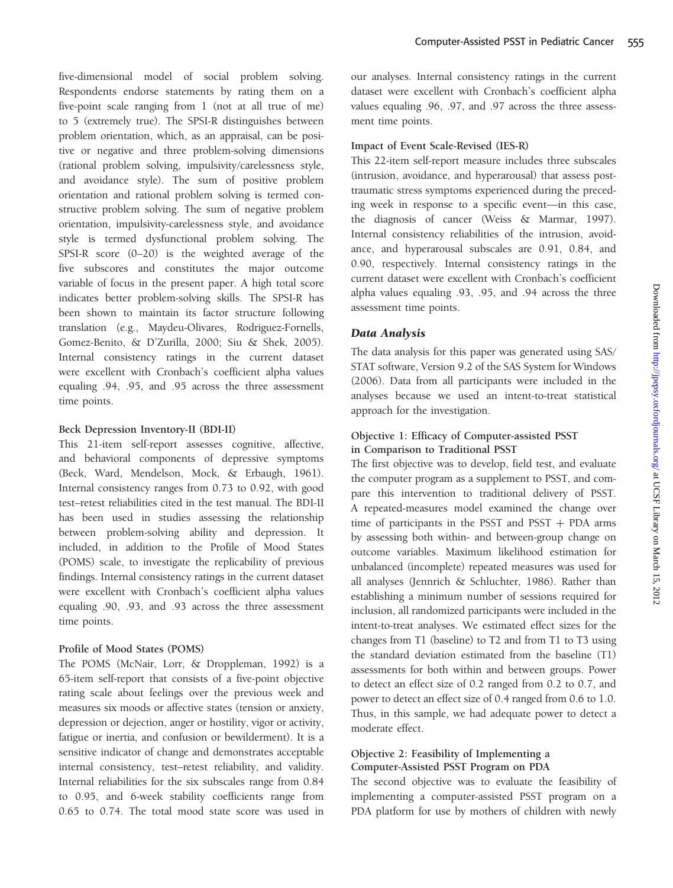five-dimensional model of social problem solving. Respondents endorse statements by rating them on a five-point scale ranging from 1 (not at all true of me) to 5 (extremely true). The SPSI-R distinguishes between problem orientation, which, as an appraisal, can be positive or negative and three problem-solving dimensions (rational problem solving, impulsivity/carelessness style, and avoidance style). The sum of positive problem orientation and rational problem solving is termed constructive problem solving. The sum of negative problem orientation, impulsivity-carelessness style, and avoidance style is termed dysfunctional problem solving. The SPSI-R score (0–20) is the weighted average of the five subscores and constitutes the major outcome variable of focus in the present paper. A high total score indicates better problem-solving skills. The SPSI-R has been shown to maintain its factor structure following translation (e.g., Maydeu-Olivares, Rodriguez-Fornells, Gomez-Benito, & D'Zurilla, 2000; Siu & Shek, 2005). Internal consistency ratings in the current dataset were excellent with Cronbach's coefficient alpha values equaling .94, .95, and .95 across the three assessment time points.

## Beck Depression Inventory-II (BDI-II)

This 21-item self-report assesses cognitive, affective, and behavioral components of depressive symptoms (Beck, Ward, Mendelson, Mock, & Erbaugh, 1961). Internal consistency ranges from 0.73 to 0.92, with good test–retest reliabilities cited in the test manual. The BDI-II has been used in studies assessing the relationship between problem-solving ability and depression. It included, in addition to the Profile of Mood States (POMS) scale, to investigate the replicability of previous findings. Internal consistency ratings in the current dataset were excellent with Cronbach's coefficient alpha values equaling .90, .93, and .93 across the three assessment time points.

## Profile of Mood States (POMS)

The POMS (McNair, Lorr, & Droppleman, 1992) is a 65-item self-report that consists of a five-point objective rating scale about feelings over the previous week and measures six moods or affective states (tension or anxiety, depression or dejection, anger or hostility, vigor or activity, fatigue or inertia, and confusion or bewilderment). It is a sensitive indicator of change and demonstrates acceptable internal consistency, test–retest reliability, and validity. Internal reliabilities for the six subscales range from 0.84 to 0.95, and 6-week stability coefficients range from 0.65 to 0.74. The total mood state score was used in

our analyses. Internal consistency ratings in the current dataset were excellent with Cronbach's coefficient alpha values equaling .96, .97, and .97 across the three assessment time points.

## Impact of Event Scale-Revised (IES-R)

This 22-item self-report measure includes three subscales (intrusion, avoidance, and hyperarousal) that assess posttraumatic stress symptoms experienced during the preceding week in response to a specific event—in this case, the diagnosis of cancer (Weiss & Marmar, 1997). Internal consistency reliabilities of the intrusion, avoidance, and hyperarousal subscales are 0.91, 0.84, and 0.90, respectively. Internal consistency ratings in the current dataset were excellent with Cronbach's coefficient alpha values equaling .93, .95, and .94 across the three assessment time points.

# Data Analysis

The data analysis for this paper was generated using SAS/ STAT software, Version 9.2 of the SAS System for Windows (2006). Data from all participants were included in the analyses because we used an intent-to-treat statistical approach for the investigation.

## Objective 1: Efficacy of Computer-assisted PSST in Comparison to Traditional PSST

The first objective was to develop, field test, and evaluate the computer program as a supplement to PSST, and compare this intervention to traditional delivery of PSST. A repeated-measures model examined the change over time of participants in the PSST and PSST  $+$  PDA arms by assessing both within- and between-group change on outcome variables. Maximum likelihood estimation for unbalanced (incomplete) repeated measures was used for all analyses (Jennrich & Schluchter, 1986). Rather than establishing a minimum number of sessions required for inclusion, all randomized participants were included in the intent-to-treat analyses. We estimated effect sizes for the changes from T1 (baseline) to T2 and from T1 to T3 using the standard deviation estimated from the baseline (T1) assessments for both within and between groups. Power to detect an effect size of 0.2 ranged from 0.2 to 0.7, and power to detect an effect size of 0.4 ranged from 0.6 to 1.0. Thus, in this sample, we had adequate power to detect a moderate effect.

## Objective 2: Feasibility of Implementing a Computer-Assisted PSST Program on PDA

The second objective was to evaluate the feasibility of implementing a computer-assisted PSST program on a PDA platform for use by mothers of children with newly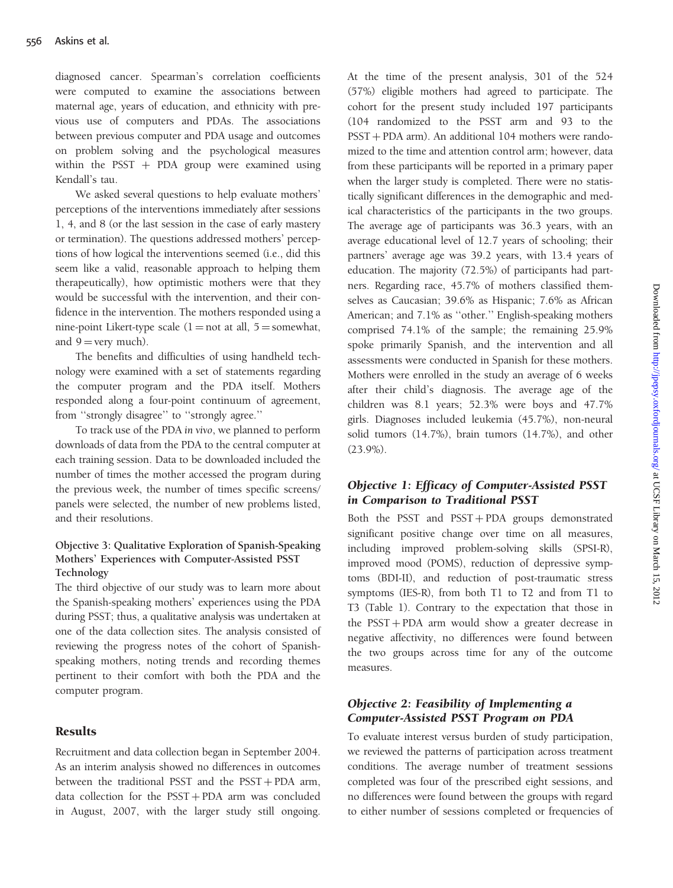diagnosed cancer. Spearman's correlation coefficients were computed to examine the associations between maternal age, years of education, and ethnicity with previous use of computers and PDAs. The associations between previous computer and PDA usage and outcomes on problem solving and the psychological measures within the PSST  $+$  PDA group were examined using Kendall's tau.

We asked several questions to help evaluate mothers' perceptions of the interventions immediately after sessions 1, 4, and 8 (or the last session in the case of early mastery or termination). The questions addressed mothers' perceptions of how logical the interventions seemed (i.e., did this seem like a valid, reasonable approach to helping them therapeutically), how optimistic mothers were that they would be successful with the intervention, and their confidence in the intervention. The mothers responded using a nine-point Likert-type scale  $(1 = not at all, 5 = somewhat,$ and  $9 = \text{very much}$ .

The benefits and difficulties of using handheld technology were examined with a set of statements regarding the computer program and the PDA itself. Mothers responded along a four-point continuum of agreement, from ''strongly disagree'' to ''strongly agree.''

To track use of the PDA in vivo, we planned to perform downloads of data from the PDA to the central computer at each training session. Data to be downloaded included the number of times the mother accessed the program during the previous week, the number of times specific screens/ panels were selected, the number of new problems listed, and their resolutions.

#### Objective 3: Qualitative Exploration of Spanish-Speaking Mothers' Experiences with Computer-Assisted PSST Technology

The third objective of our study was to learn more about the Spanish-speaking mothers' experiences using the PDA during PSST; thus, a qualitative analysis was undertaken at one of the data collection sites. The analysis consisted of reviewing the progress notes of the cohort of Spanishspeaking mothers, noting trends and recording themes pertinent to their comfort with both the PDA and the computer program.

#### **Results**

Recruitment and data collection began in September 2004. As an interim analysis showed no differences in outcomes between the traditional PSST and the PSST  $+$  PDA arm, data collection for the  $PSST + PDA$  arm was concluded in August, 2007, with the larger study still ongoing. At the time of the present analysis, 301 of the 524 (57%) eligible mothers had agreed to participate. The cohort for the present study included 197 participants (104 randomized to the PSST arm and 93 to the  $PSST + PDA$  arm). An additional 104 mothers were randomized to the time and attention control arm; however, data from these participants will be reported in a primary paper when the larger study is completed. There were no statistically significant differences in the demographic and medical characteristics of the participants in the two groups. The average age of participants was 36.3 years, with an average educational level of 12.7 years of schooling; their partners' average age was 39.2 years, with 13.4 years of education. The majority (72.5%) of participants had partners. Regarding race, 45.7% of mothers classified themselves as Caucasian; 39.6% as Hispanic; 7.6% as African American; and 7.1% as ''other.'' English-speaking mothers comprised 74.1% of the sample; the remaining 25.9% spoke primarily Spanish, and the intervention and all assessments were conducted in Spanish for these mothers. Mothers were enrolled in the study an average of 6 weeks after their child's diagnosis. The average age of the children was 8.1 years; 52.3% were boys and 47.7% girls. Diagnoses included leukemia (45.7%), non-neural solid tumors (14.7%), brain tumors (14.7%), and other (23.9%).

# Objective 1: Efficacy of Computer-Assisted PSST in Comparison to Traditional PSST

Both the PSST and  $PSST + PDA$  groups demonstrated significant positive change over time on all measures, including improved problem-solving skills (SPSI-R), improved mood (POMS), reduction of depressive symptoms (BDI-II), and reduction of post-traumatic stress symptoms (IES-R), from both T1 to T2 and from T1 to T3 (Table 1). Contrary to the expectation that those in the  $PSST + PDA$  arm would show a greater decrease in negative affectivity, no differences were found between the two groups across time for any of the outcome measures.

## Objective 2: Feasibility of Implementing a Computer-Assisted PSST Program on PDA

To evaluate interest versus burden of study participation, we reviewed the patterns of participation across treatment conditions. The average number of treatment sessions completed was four of the prescribed eight sessions, and no differences were found between the groups with regard to either number of sessions completed or frequencies of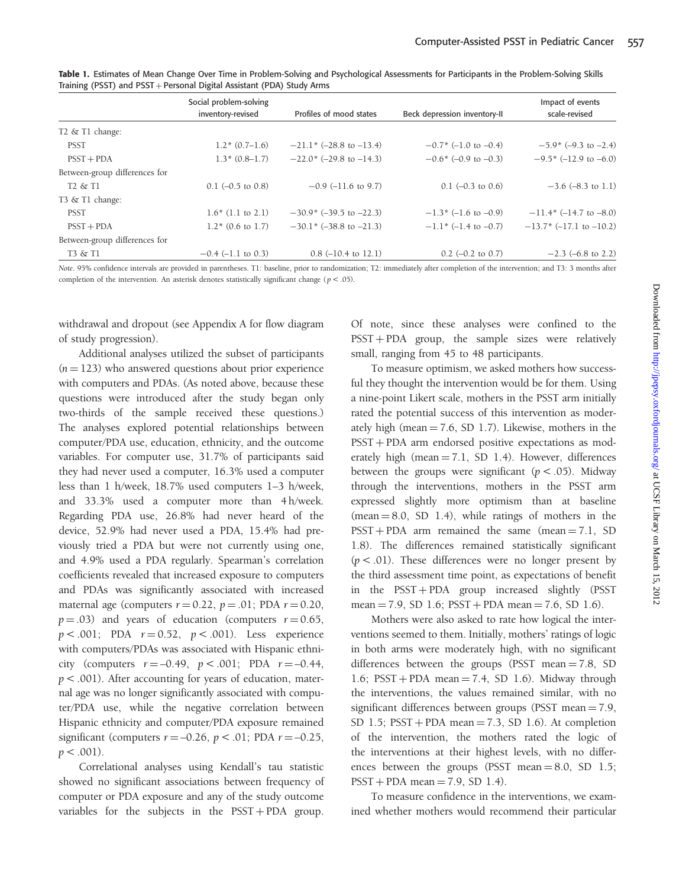|                               | Social problem-solving<br>inventory-revised | Profiles of mood states    | Beck depression inventory-II | Impact of events<br>scale-revised |  |  |
|-------------------------------|---------------------------------------------|----------------------------|------------------------------|-----------------------------------|--|--|
| T2 & T1 change:               |                                             |                            |                              |                                   |  |  |
| <b>PSST</b>                   | $1.2*(0.7-1.6)$                             | $-21.1*$ (-28.8 to -13.4)  | $-0.7$ * (-1.0 to -0.4)      | $-5.9* (-9.3 \text{ to } -2.4)$   |  |  |
| $PSST + PDA$                  | $1.3*(0.8-1.7)$                             | $-22.0$ * (-29.8 to -14.3) | $-0.6*$ (-0.9 to -0.3)       | $-9.5*$ (-12.9 to -6.0)           |  |  |
| Between-group differences for |                                             |                            |                              |                                   |  |  |
| T2 & T1                       | $0.1$ (-0.5 to 0.8)                         | $-0.9$ (-11.6 to 9.7)      | $0.1$ (-0.3 to 0.6)          | $-3.6$ ( $-8.3$ to 1.1)           |  |  |
| T3 & T1 change:               |                                             |                            |                              |                                   |  |  |
| <b>PSST</b>                   | $1.6*$ (1.1 to 2.1)                         | $-30.9$ * (-39.5 to -22.3) | $-1.3*$ (-1.6 to -0.9)       | $-11.4*$ (-14.7 to -8.0)          |  |  |
| $PSST + PDA$                  | $1.2*$ (0.6 to 1.7)                         | $-30.1*$ (-38.8 to -21.3)  | $-1.1*$ (-1.4 to -0.7)       | $-13.7$ * (-17.1 to -10.2)        |  |  |
| Between-group differences for |                                             |                            |                              |                                   |  |  |
| T3 & T1                       | $-0.4$ (-1.1 to 0.3)                        | $0.8$ (-10.4 to 12.1)      | $0.2$ (-0.2 to 0.7)          | $-2.3$ (-6.8 to 2.2)              |  |  |
|                               |                                             |                            |                              |                                   |  |  |

Table 1. Estimates of Mean Change Over Time in Problem-Solving and Psychological Assessments for Participants in the Problem-Solving Skills Training (PSST) and PSST + Personal Digital Assistant (PDA) Study Arms

Note. 95% confidence intervals are provided in parentheses. T1: baseline, prior to randomization; T2: immediately after completion of the intervention; and T3: 3 months after completion of the intervention. An asterisk denotes statistically significant change ( $p < .05$ ).

withdrawal and dropout (see Appendix A for flow diagram of study progression).

Additional analyses utilized the subset of participants  $(n = 123)$  who answered questions about prior experience with computers and PDAs. (As noted above, because these questions were introduced after the study began only two-thirds of the sample received these questions.) The analyses explored potential relationships between computer/PDA use, education, ethnicity, and the outcome variables. For computer use, 31.7% of participants said they had never used a computer, 16.3% used a computer less than 1 h/week, 18.7% used computers 1–3 h/week, and 33.3% used a computer more than 4 h/week. Regarding PDA use, 26.8% had never heard of the device, 52.9% had never used a PDA, 15.4% had previously tried a PDA but were not currently using one, and 4.9% used a PDA regularly. Spearman's correlation coefficients revealed that increased exposure to computers and PDAs was significantly associated with increased maternal age (computers  $r = 0.22$ ,  $p = .01$ ; PDA  $r = 0.20$ ,  $p = .03$ ) and years of education (computers  $r = 0.65$ ,  $p < .001$ ; PDA  $r = 0.52$ ,  $p < .001$ ). Less experience with computers/PDAs was associated with Hispanic ethnicity (computers  $r = -0.49$ ,  $p < .001$ ; PDA  $r = -0.44$ ,  $p < .001$ ). After accounting for years of education, maternal age was no longer significantly associated with computer/PDA use, while the negative correlation between Hispanic ethnicity and computer/PDA exposure remained significant (computers  $r = -0.26$ ,  $p < .01$ ; PDA  $r = -0.25$ ,  $p < .001$ ).

Correlational analyses using Kendall's tau statistic showed no significant associations between frequency of computer or PDA exposure and any of the study outcome variables for the subjects in the  $PSST + PDA$  group. Of note, since these analyses were confined to the  $PSST + PDA$  group, the sample sizes were relatively small, ranging from 45 to 48 participants.

To measure optimism, we asked mothers how successful they thought the intervention would be for them. Using a nine-point Likert scale, mothers in the PSST arm initially rated the potential success of this intervention as moderately high (mean  $= 7.6$ , SD 1.7). Likewise, mothers in the PSST + PDA arm endorsed positive expectations as moderately high (mean  $= 7.1$ , SD 1.4). However, differences between the groups were significant  $(p < .05)$ . Midway through the interventions, mothers in the PSST arm expressed slightly more optimism than at baseline  $(mean = 8.0, SD 1.4)$ , while ratings of mothers in the  $PSST + PDA$  arm remained the same (mean = 7.1, SD 1.8). The differences remained statistically significant  $(p < .01)$ . These differences were no longer present by the third assessment time point, as expectations of benefit in the  $PSST + PDA$  group increased slightly (PSST mean = 7.9, SD 1.6; PSST + PDA mean = 7.6, SD 1.6).

Mothers were also asked to rate how logical the interventions seemed to them. Initially, mothers' ratings of logic in both arms were moderately high, with no significant differences between the groups (PSST mean  $= 7.8$ , SD 1.6;  $PSST + PDA$  mean = 7.4, SD 1.6). Midway through the interventions, the values remained similar, with no significant differences between groups (PSST mean  $= 7.9$ , SD 1.5;  $PSST + PDA$  mean = 7.3, SD 1.6). At completion of the intervention, the mothers rated the logic of the interventions at their highest levels, with no differences between the groups (PSST mean  $= 8.0$ , SD 1.5;  $PSST + PDA mean = 7.9$ , SD 1.4).

To measure confidence in the interventions, we examined whether mothers would recommend their particular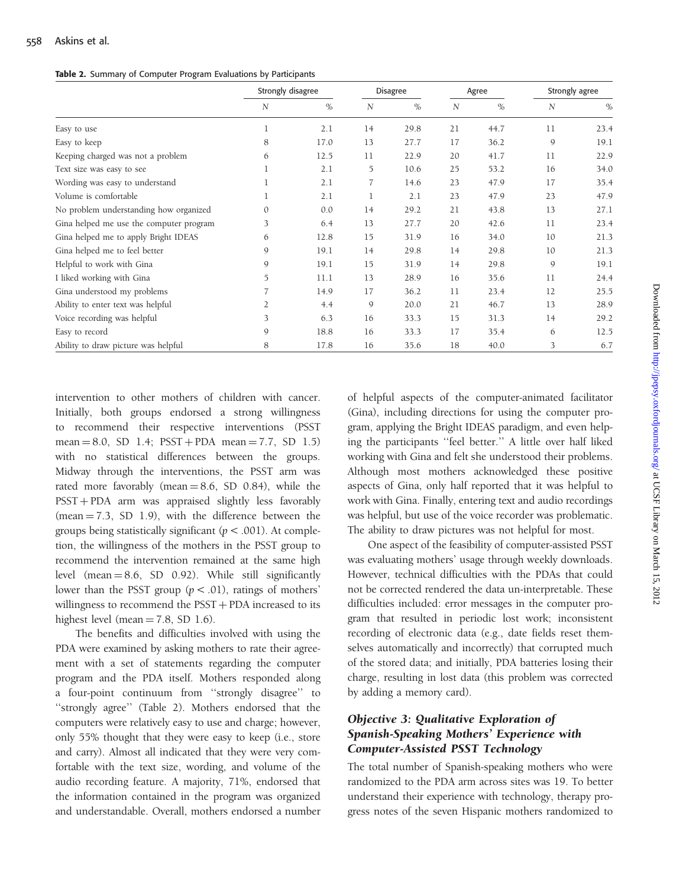Table 2. Summary of Computer Program Evaluations by Participants

|                                         | Strongly disagree |      | <b>Disagree</b> |      | Agree            |      | Strongly agree              |      |
|-----------------------------------------|-------------------|------|-----------------|------|------------------|------|-----------------------------|------|
|                                         | N                 | $\%$ | $\mathcal N$    | $\%$ | $\boldsymbol{N}$ | $\%$ | $\mathcal{N}_{\mathcal{N}}$ | $\%$ |
| Easy to use                             | 1                 | 2.1  | 14              | 29.8 | 21               | 44.7 | 11                          | 23.4 |
| Easy to keep                            | 8                 | 17.0 | 13              | 27.7 | 17               | 36.2 | 9                           | 19.1 |
| Keeping charged was not a problem       | 6                 | 12.5 | 11              | 22.9 | 20               | 41.7 | 11                          | 22.9 |
| Text size was easy to see               | 1                 | 2.1  | 5               | 10.6 | 25               | 53.2 | 16                          | 34.0 |
| Wording was easy to understand          | 1                 | 2.1  | $\overline{7}$  | 14.6 | 23               | 47.9 | 17                          | 35.4 |
| Volume is comfortable                   | 1                 | 2.1  | 1               | 2.1  | 23               | 47.9 | 23                          | 47.9 |
| No problem understanding how organized  | $\mathbf{0}$      | 0.0  | 14              | 29.2 | 21               | 43.8 | 13                          | 27.1 |
| Gina helped me use the computer program | 3                 | 6.4  | 13              | 27.7 | 20               | 42.6 | 11                          | 23.4 |
| Gina helped me to apply Bright IDEAS    | 6                 | 12.8 | 15              | 31.9 | 16               | 34.0 | 10                          | 21.3 |
| Gina helped me to feel better           | 9                 | 19.1 | 14              | 29.8 | 14               | 29.8 | 10                          | 21.3 |
| Helpful to work with Gina               | 9                 | 19.1 | 15              | 31.9 | 14               | 29.8 | 9                           | 19.1 |
| I liked working with Gina               | 5                 | 11.1 | 13              | 28.9 | 16               | 35.6 | 11                          | 24.4 |
| Gina understood my problems             |                   | 14.9 | 17              | 36.2 | 11               | 23.4 | 12                          | 25.5 |
| Ability to enter text was helpful       | 2                 | 4.4  | 9               | 20.0 | 21               | 46.7 | 13                          | 28.9 |
| Voice recording was helpful             | 3                 | 6.3  | 16              | 33.3 | 15               | 31.3 | 14                          | 29.2 |
| Easy to record                          | 9                 | 18.8 | 16              | 33.3 | 17               | 35.4 | 6                           | 12.5 |
| Ability to draw picture was helpful     | 8                 | 17.8 | 16              | 35.6 | 18               | 40.0 | 3                           | 6.7  |

intervention to other mothers of children with cancer. Initially, both groups endorsed a strong willingness to recommend their respective interventions (PSST mean  $= 8.0$ , SD 1.4; PSST + PDA mean  $= 7.7$ , SD 1.5) with no statistical differences between the groups. Midway through the interventions, the PSST arm was rated more favorably (mean  $= 8.6$ , SD 0.84), while the  $PSST + PDA$  arm was appraised slightly less favorably  $(mean = 7.3, SD 1.9)$ , with the difference between the groups being statistically significant ( $p < .001$ ). At completion, the willingness of the mothers in the PSST group to recommend the intervention remained at the same high level (mean  $= 8.6$ , SD 0.92). While still significantly lower than the PSST group  $(p < .01)$ , ratings of mothers' willingness to recommend the  $PSST + PDA$  increased to its highest level (mean  $= 7.8$ , SD 1.6).

The benefits and difficulties involved with using the PDA were examined by asking mothers to rate their agreement with a set of statements regarding the computer program and the PDA itself. Mothers responded along a four-point continuum from ''strongly disagree'' to ''strongly agree'' (Table 2). Mothers endorsed that the computers were relatively easy to use and charge; however, only 55% thought that they were easy to keep (i.e., store and carry). Almost all indicated that they were very comfortable with the text size, wording, and volume of the audio recording feature. A majority, 71%, endorsed that the information contained in the program was organized and understandable. Overall, mothers endorsed a number

of helpful aspects of the computer-animated facilitator (Gina), including directions for using the computer program, applying the Bright IDEAS paradigm, and even helping the participants ''feel better.'' A little over half liked working with Gina and felt she understood their problems. Although most mothers acknowledged these positive aspects of Gina, only half reported that it was helpful to work with Gina. Finally, entering text and audio recordings was helpful, but use of the voice recorder was problematic. The ability to draw pictures was not helpful for most.

One aspect of the feasibility of computer-assisted PSST was evaluating mothers' usage through weekly downloads. However, technical difficulties with the PDAs that could not be corrected rendered the data un-interpretable. These difficulties included: error messages in the computer program that resulted in periodic lost work; inconsistent recording of electronic data (e.g., date fields reset themselves automatically and incorrectly) that corrupted much of the stored data; and initially, PDA batteries losing their charge, resulting in lost data (this problem was corrected by adding a memory card).

# Objective 3: Qualitative Exploration of Spanish-Speaking Mothers' Experience with Computer-Assisted PSST Technology

The total number of Spanish-speaking mothers who were randomized to the PDA arm across sites was 19. To better understand their experience with technology, therapy progress notes of the seven Hispanic mothers randomized to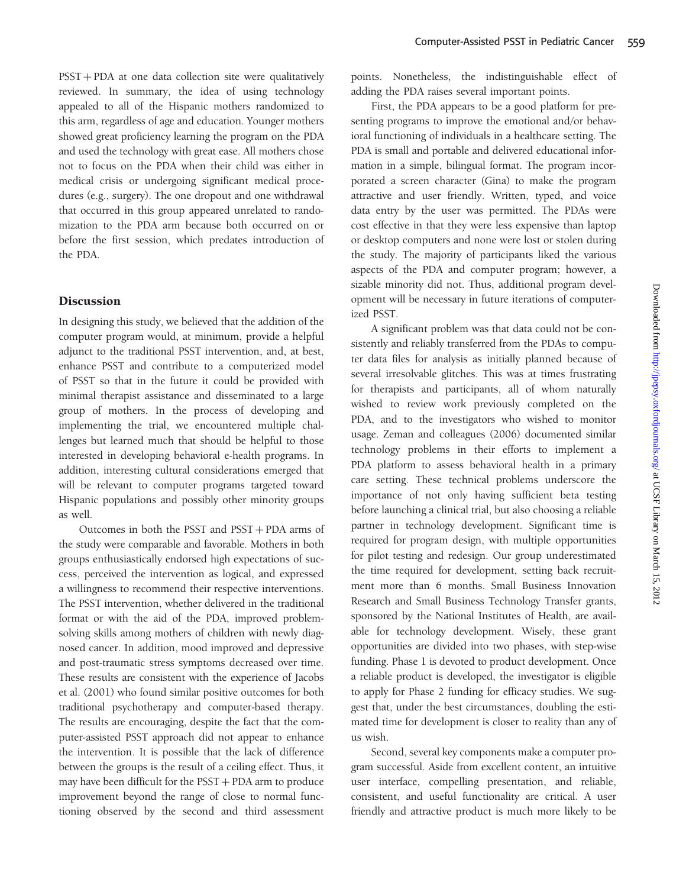$PSST + PDA$  at one data collection site were qualitatively reviewed. In summary, the idea of using technology appealed to all of the Hispanic mothers randomized to this arm, regardless of age and education. Younger mothers showed great proficiency learning the program on the PDA and used the technology with great ease. All mothers chose not to focus on the PDA when their child was either in medical crisis or undergoing significant medical procedures (e.g., surgery). The one dropout and one withdrawal that occurred in this group appeared unrelated to randomization to the PDA arm because both occurred on or before the first session, which predates introduction of the PDA.

#### **Discussion**

In designing this study, we believed that the addition of the computer program would, at minimum, provide a helpful adjunct to the traditional PSST intervention, and, at best, enhance PSST and contribute to a computerized model of PSST so that in the future it could be provided with minimal therapist assistance and disseminated to a large group of mothers. In the process of developing and implementing the trial, we encountered multiple challenges but learned much that should be helpful to those interested in developing behavioral e-health programs. In addition, interesting cultural considerations emerged that will be relevant to computer programs targeted toward Hispanic populations and possibly other minority groups as well.

Outcomes in both the PSST and  $PSST + PDA$  arms of the study were comparable and favorable. Mothers in both groups enthusiastically endorsed high expectations of success, perceived the intervention as logical, and expressed a willingness to recommend their respective interventions. The PSST intervention, whether delivered in the traditional format or with the aid of the PDA, improved problemsolving skills among mothers of children with newly diagnosed cancer. In addition, mood improved and depressive and post-traumatic stress symptoms decreased over time. These results are consistent with the experience of Jacobs et al. (2001) who found similar positive outcomes for both traditional psychotherapy and computer-based therapy. The results are encouraging, despite the fact that the computer-assisted PSST approach did not appear to enhance the intervention. It is possible that the lack of difference between the groups is the result of a ceiling effect. Thus, it may have been difficult for the  $PSST + PDA$  arm to produce improvement beyond the range of close to normal functioning observed by the second and third assessment points. Nonetheless, the indistinguishable effect of adding the PDA raises several important points.

First, the PDA appears to be a good platform for presenting programs to improve the emotional and/or behavioral functioning of individuals in a healthcare setting. The PDA is small and portable and delivered educational information in a simple, bilingual format. The program incorporated a screen character (Gina) to make the program attractive and user friendly. Written, typed, and voice data entry by the user was permitted. The PDAs were cost effective in that they were less expensive than laptop or desktop computers and none were lost or stolen during the study. The majority of participants liked the various aspects of the PDA and computer program; however, a sizable minority did not. Thus, additional program development will be necessary in future iterations of computerized PSST.

A significant problem was that data could not be consistently and reliably transferred from the PDAs to computer data files for analysis as initially planned because of several irresolvable glitches. This was at times frustrating for therapists and participants, all of whom naturally wished to review work previously completed on the PDA, and to the investigators who wished to monitor usage. Zeman and colleagues (2006) documented similar technology problems in their efforts to implement a PDA platform to assess behavioral health in a primary care setting. These technical problems underscore the importance of not only having sufficient beta testing before launching a clinical trial, but also choosing a reliable partner in technology development. Significant time is required for program design, with multiple opportunities for pilot testing and redesign. Our group underestimated the time required for development, setting back recruitment more than 6 months. Small Business Innovation Research and Small Business Technology Transfer grants, sponsored by the National Institutes of Health, are available for technology development. Wisely, these grant opportunities are divided into two phases, with step-wise funding. Phase 1 is devoted to product development. Once a reliable product is developed, the investigator is eligible to apply for Phase 2 funding for efficacy studies. We suggest that, under the best circumstances, doubling the estimated time for development is closer to reality than any of us wish.

Second, several key components make a computer program successful. Aside from excellent content, an intuitive user interface, compelling presentation, and reliable, consistent, and useful functionality are critical. A user friendly and attractive product is much more likely to be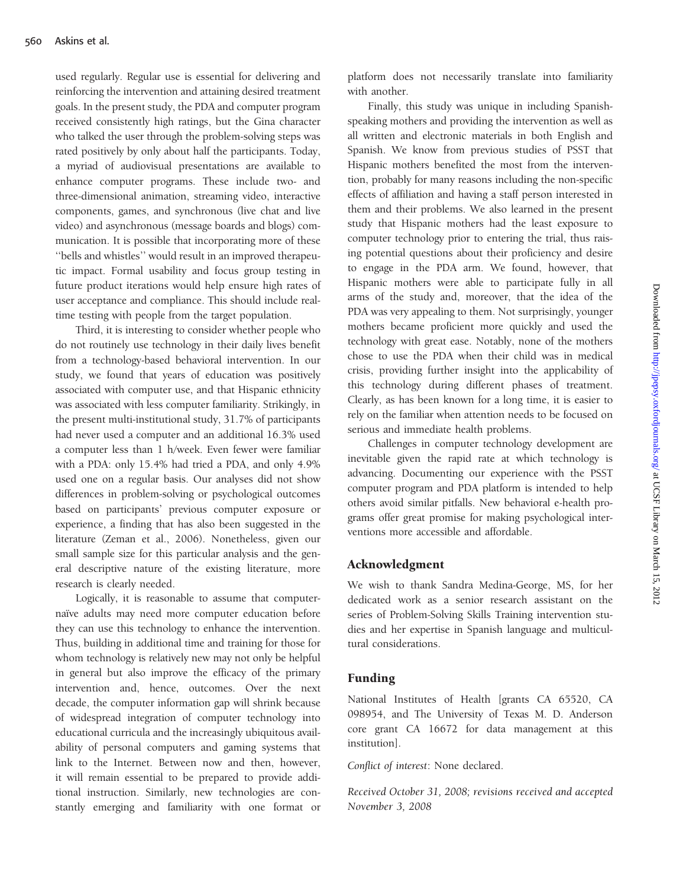used regularly. Regular use is essential for delivering and reinforcing the intervention and attaining desired treatment goals. In the present study, the PDA and computer program received consistently high ratings, but the Gina character who talked the user through the problem-solving steps was rated positively by only about half the participants. Today, a myriad of audiovisual presentations are available to enhance computer programs. These include two- and three-dimensional animation, streaming video, interactive components, games, and synchronous (live chat and live video) and asynchronous (message boards and blogs) communication. It is possible that incorporating more of these ''bells and whistles'' would result in an improved therapeutic impact. Formal usability and focus group testing in future product iterations would help ensure high rates of user acceptance and compliance. This should include realtime testing with people from the target population.

Third, it is interesting to consider whether people who do not routinely use technology in their daily lives benefit from a technology-based behavioral intervention. In our study, we found that years of education was positively associated with computer use, and that Hispanic ethnicity was associated with less computer familiarity. Strikingly, in the present multi-institutional study, 31.7% of participants had never used a computer and an additional 16.3% used a computer less than 1 h/week. Even fewer were familiar with a PDA: only 15.4% had tried a PDA, and only 4.9% used one on a regular basis. Our analyses did not show differences in problem-solving or psychological outcomes based on participants' previous computer exposure or experience, a finding that has also been suggested in the literature (Zeman et al., 2006). Nonetheless, given our small sample size for this particular analysis and the general descriptive nature of the existing literature, more research is clearly needed.

Logically, it is reasonable to assume that computernaïve adults may need more computer education before they can use this technology to enhance the intervention. Thus, building in additional time and training for those for whom technology is relatively new may not only be helpful in general but also improve the efficacy of the primary intervention and, hence, outcomes. Over the next decade, the computer information gap will shrink because of widespread integration of computer technology into educational curricula and the increasingly ubiquitous availability of personal computers and gaming systems that link to the Internet. Between now and then, however, it will remain essential to be prepared to provide additional instruction. Similarly, new technologies are constantly emerging and familiarity with one format or

platform does not necessarily translate into familiarity with another.

Finally, this study was unique in including Spanishspeaking mothers and providing the intervention as well as all written and electronic materials in both English and Spanish. We know from previous studies of PSST that Hispanic mothers benefited the most from the intervention, probably for many reasons including the non-specific effects of affiliation and having a staff person interested in them and their problems. We also learned in the present study that Hispanic mothers had the least exposure to computer technology prior to entering the trial, thus raising potential questions about their proficiency and desire to engage in the PDA arm. We found, however, that Hispanic mothers were able to participate fully in all arms of the study and, moreover, that the idea of the PDA was very appealing to them. Not surprisingly, younger mothers became proficient more quickly and used the technology with great ease. Notably, none of the mothers chose to use the PDA when their child was in medical crisis, providing further insight into the applicability of this technology during different phases of treatment. Clearly, as has been known for a long time, it is easier to rely on the familiar when attention needs to be focused on serious and immediate health problems.

Challenges in computer technology development are inevitable given the rapid rate at which technology is advancing. Documenting our experience with the PSST computer program and PDA platform is intended to help others avoid similar pitfalls. New behavioral e-health programs offer great promise for making psychological interventions more accessible and affordable.

#### Acknowledgment

We wish to thank Sandra Medina-George, MS, for her dedicated work as a senior research assistant on the series of Problem-Solving Skills Training intervention studies and her expertise in Spanish language and multicultural considerations.

## Funding

National Institutes of Health [grants CA 65520, CA 098954, and The University of Texas M. D. Anderson core grant CA 16672 for data management at this institution].

Conflict of interest: None declared.

Received October 31, 2008; revisions received and accepted November 3, 2008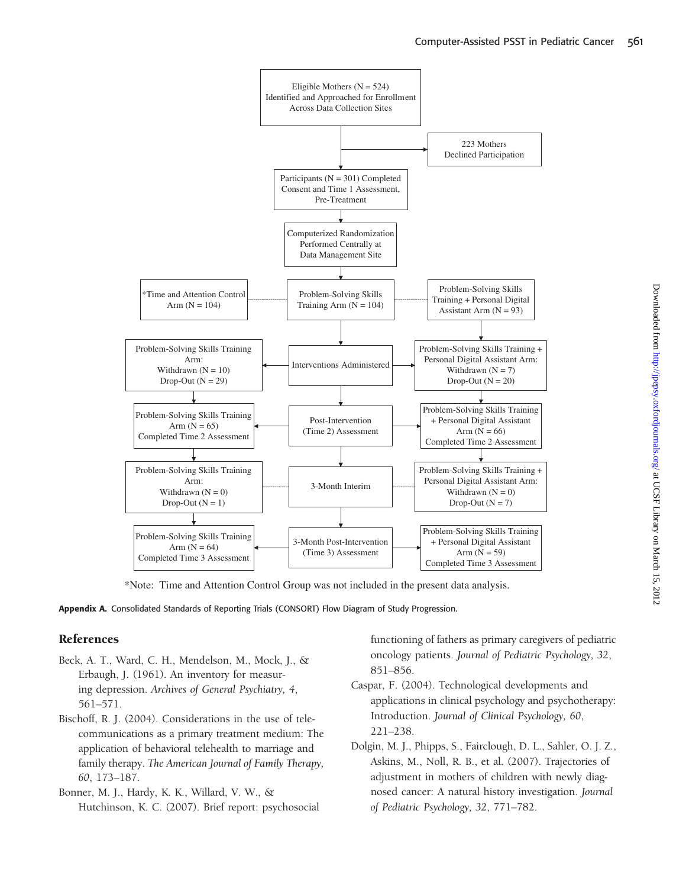

\*Note: Time and Attention Control Group was not included in the present data analysis.

Appendix A. Consolidated Standards of Reporting Trials (CONSORT) Flow Diagram of Study Progression.

#### References

- Beck, A. T., Ward, C. H., Mendelson, M., Mock, J., & Erbaugh, J. (1961). An inventory for measuring depression. Archives of General Psychiatry, 4, 561–571.
- Bischoff, R. J. (2004). Considerations in the use of telecommunications as a primary treatment medium: The application of behavioral telehealth to marriage and family therapy. The American Journal of Family Therapy, 60, 173–187.
- Bonner, M. J., Hardy, K. K., Willard, V. W., & Hutchinson, K. C. (2007). Brief report: psychosocial

functioning of fathers as primary caregivers of pediatric oncology patients. Journal of Pediatric Psychology, 32, 851–856.

- Caspar, F. (2004). Technological developments and applications in clinical psychology and psychotherapy: Introduction. Journal of Clinical Psychology, 60, 221–238.
- Dolgin, M. J., Phipps, S., Fairclough, D. L., Sahler, O. J. Z., Askins, M., Noll, R. B., et al. (2007). Trajectories of adjustment in mothers of children with newly diagnosed cancer: A natural history investigation. Journal of Pediatric Psychology, 32, 771–782.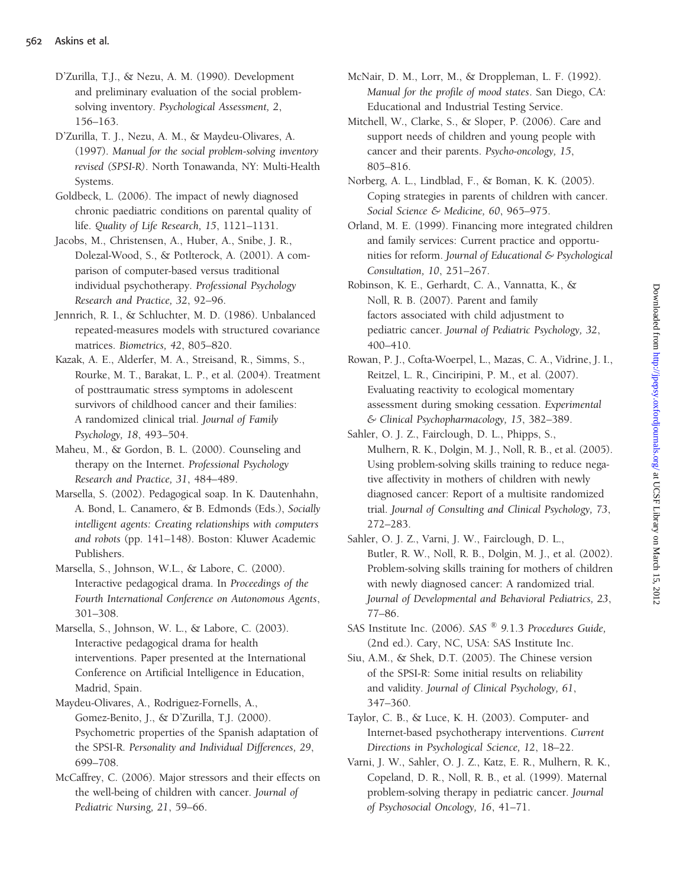- D'Zurilla, T.J., & Nezu, A. M. (1990). Development and preliminary evaluation of the social problemsolving inventory. Psychological Assessment, 2, 156–163.
- D'Zurilla, T. J., Nezu, A. M., & Maydeu-Olivares, A. (1997). Manual for the social problem-solving inventory revised (SPSI-R). North Tonawanda, NY: Multi-Health Systems.
- Goldbeck, L. (2006). The impact of newly diagnosed chronic paediatric conditions on parental quality of life. Quality of Life Research, 15, 1121–1131.
- Jacobs, M., Christensen, A., Huber, A., Snibe, J. R., Dolezal-Wood, S., & Potlterock, A. (2001). A comparison of computer-based versus traditional individual psychotherapy. Professional Psychology Research and Practice, 32, 92–96.
- Jennrich, R. I., & Schluchter, M. D. (1986). Unbalanced repeated-measures models with structured covariance matrices. Biometrics, 42, 805–820.
- Kazak, A. E., Alderfer, M. A., Streisand, R., Simms, S., Rourke, M. T., Barakat, L. P., et al. (2004). Treatment of posttraumatic stress symptoms in adolescent survivors of childhood cancer and their families: A randomized clinical trial. Journal of Family Psychology, 18, 493–504.
- Maheu, M., & Gordon, B. L. (2000). Counseling and therapy on the Internet. Professional Psychology Research and Practice, 31, 484–489.
- Marsella, S. (2002). Pedagogical soap. In K. Dautenhahn, A. Bond, L. Canamero, & B. Edmonds (Eds.), Socially intelligent agents: Creating relationships with computers and robots (pp. 141–148). Boston: Kluwer Academic Publishers.
- Marsella, S., Johnson, W.L., & Labore, C. (2000). Interactive pedagogical drama. In Proceedings of the Fourth International Conference on Autonomous Agents, 301–308.
- Marsella, S., Johnson, W. L., & Labore, C. (2003). Interactive pedagogical drama for health interventions. Paper presented at the International Conference on Artificial Intelligence in Education, Madrid, Spain.
- Maydeu-Olivares, A., Rodriguez-Fornells, A., Gomez-Benito, J., & D'Zurilla, T.J. (2000). Psychometric properties of the Spanish adaptation of the SPSI-R. Personality and Individual Differences, 29, 699–708.
- McCaffrey, C. (2006). Major stressors and their effects on the well-being of children with cancer. Journal of Pediatric Nursing, 21, 59–66.
- McNair, D. M., Lorr, M., & Droppleman, L. F. (1992). Manual for the profile of mood states. San Diego, CA: Educational and Industrial Testing Service.
- Mitchell, W., Clarke, S., & Sloper, P. (2006). Care and support needs of children and young people with cancer and their parents. Psycho-oncology, 15, 805–816.
- Norberg, A. L., Lindblad, F., & Boman, K. K. (2005). Coping strategies in parents of children with cancer. Social Science & Medicine, 60, 965–975.
- Orland, M. E. (1999). Financing more integrated children and family services: Current practice and opportunities for reform. Journal of Educational & Psychological Consultation, 10, 251–267.
- Robinson, K. E., Gerhardt, C. A., Vannatta, K., & Noll, R. B. (2007). Parent and family factors associated with child adjustment to pediatric cancer. Journal of Pediatric Psychology, 32, 400–410.
- Rowan, P. J., Cofta-Woerpel, L., Mazas, C. A., Vidrine, J. I., Reitzel, L. R., Cinciripini, P. M., et al. (2007). Evaluating reactivity to ecological momentary assessment during smoking cessation. Experimental & Clinical Psychopharmacology, 15, 382–389.
- Sahler, O. J. Z., Fairclough, D. L., Phipps, S., Mulhern, R. K., Dolgin, M. J., Noll, R. B., et al. (2005). Using problem-solving skills training to reduce negative affectivity in mothers of children with newly diagnosed cancer: Report of a multisite randomized trial. Journal of Consulting and Clinical Psychology, 73, 272–283.
- Sahler, O. J. Z., Varni, J. W., Fairclough, D. L., Butler, R. W., Noll, R. B., Dolgin, M. J., et al. (2002). Problem-solving skills training for mothers of children with newly diagnosed cancer: A randomized trial. Journal of Developmental and Behavioral Pediatrics, 23, 77–86.
- SAS Institute Inc. (2006). SAS ® 9.1.3 Procedures Guide, (2nd ed.). Cary, NC, USA: SAS Institute Inc.
- Siu, A.M., & Shek, D.T. (2005). The Chinese version of the SPSI-R: Some initial results on reliability and validity. Journal of Clinical Psychology, 61, 347–360.
- Taylor, C. B., & Luce, K. H. (2003). Computer- and Internet-based psychotherapy interventions. Current Directions in Psychological Science, 12, 18–22.
- Varni, J. W., Sahler, O. J. Z., Katz, E. R., Mulhern, R. K., Copeland, D. R., Noll, R. B., et al. (1999). Maternal problem-solving therapy in pediatric cancer. Journal of Psychosocial Oncology, 16, 41–71.